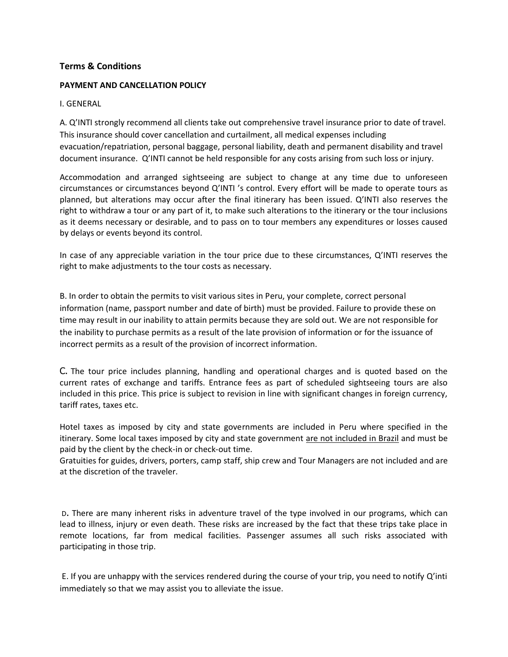# **Terms & Conditions**

#### **PAYMENT AND CANCELLATION POLICY**

#### I. GENERAL

A. Q'INTI strongly recommend all clients take out comprehensive travel insurance prior to date of travel. This insurance should cover cancellation and curtailment, all medical expenses including evacuation/repatriation, personal baggage, personal liability, death and permanent disability and travel document insurance. Q'INTI cannot be held responsible for any costs arising from such loss or injury.

Accommodation and arranged sightseeing are subject to change at any time due to unforeseen circumstances or circumstances beyond Q'INTI 's control. Every effort will be made to operate tours as planned, but alterations may occur after the final itinerary has been issued. Q'INTI also reserves the right to withdraw a tour or any part of it, to make such alterations to the itinerary or the tour inclusions as it deems necessary or desirable, and to pass on to tour members any expenditures or losses caused by delays or events beyond its control.

In case of any appreciable variation in the tour price due to these circumstances, Q'INTI reserves the right to make adjustments to the tour costs as necessary.

B. In order to obtain the permits to visit various sites in Peru, your complete, correct personal information (name, passport number and date of birth) must be provided. Failure to provide these on time may result in our inability to attain permits because they are sold out. We are not responsible for the inability to purchase permits as a result of the late provision of information or for the issuance of incorrect permits as a result of the provision of incorrect information.

C. The tour price includes planning, handling and operational charges and is quoted based on the current rates of exchange and tariffs. Entrance fees as part of scheduled sightseeing tours are also included in this price. This price is subject to revision in line with significant changes in foreign currency, tariff rates, taxes etc.

Hotel taxes as imposed by city and state governments are included in Peru where specified in the itinerary. Some local taxes imposed by city and state government are not included in Brazil and must be paid by the client by the check-in or check-out time.

Gratuities for guides, drivers, porters, camp staff, ship crew and Tour Managers are not included and are at the discretion of the traveler.

<sup>D</sup>. There are many inherent risks in adventure travel of the type involved in our programs, which can lead to illness, injury or even death. These risks are increased by the fact that these trips take place in remote locations, far from medical facilities. Passenger assumes all such risks associated with participating in those trip.

E. If you are unhappy with the services rendered during the course of your trip, you need to notify Q'inti immediately so that we may assist you to alleviate the issue.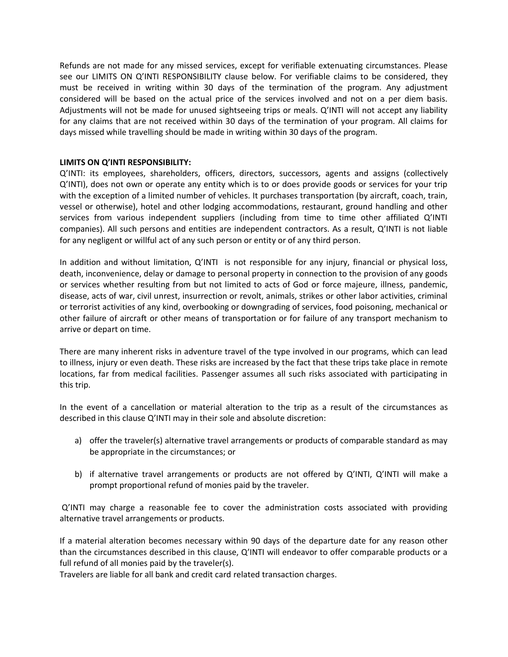Refunds are not made for any missed services, except for verifiable extenuating circumstances. Please see our LIMITS ON Q'INTI RESPONSIBILITY clause below. For verifiable claims to be considered, they must be received in writing within 30 days of the termination of the program. Any adjustment considered will be based on the actual price of the services involved and not on a per diem basis. Adjustments will not be made for unused sightseeing trips or meals. Q'INTI will not accept any liability for any claims that are not received within 30 days of the termination of your program. All claims for days missed while travelling should be made in writing within 30 days of the program.

#### **LIMITS ON Q'INTI RESPONSIBILITY:**

Q'INTI: its employees, shareholders, officers, directors, successors, agents and assigns (collectively Q'INTI), does not own or operate any entity which is to or does provide goods or services for your trip with the exception of a limited number of vehicles. It purchases transportation (by aircraft, coach, train, vessel or otherwise), hotel and other lodging accommodations, restaurant, ground handling and other services from various independent suppliers (including from time to time other affiliated Q'INTI companies). All such persons and entities are independent contractors. As a result, Q'INTI is not liable for any negligent or willful act of any such person or entity or of any third person.

In addition and without limitation, Q'INTI is not responsible for any injury, financial or physical loss, death, inconvenience, delay or damage to personal property in connection to the provision of any goods or services whether resulting from but not limited to acts of God or force majeure, illness, pandemic, disease, acts of war, civil unrest, insurrection or revolt, animals, strikes or other labor activities, criminal or terrorist activities of any kind, overbooking or downgrading of services, food poisoning, mechanical or other failure of aircraft or other means of transportation or for failure of any transport mechanism to arrive or depart on time.

There are many inherent risks in adventure travel of the type involved in our programs, which can lead to illness, injury or even death. These risks are increased by the fact that these trips take place in remote locations, far from medical facilities. Passenger assumes all such risks associated with participating in this trip.

In the event of a cancellation or material alteration to the trip as a result of the circumstances as described in this clause Q'INTI may in their sole and absolute discretion:

- a) offer the traveler(s) alternative travel arrangements or products of comparable standard as may be appropriate in the circumstances; or
- b) if alternative travel arrangements or products are not offered by Q'INTI, Q'INTI will make a prompt proportional refund of monies paid by the traveler.

Q'INTI may charge a reasonable fee to cover the administration costs associated with providing alternative travel arrangements or products.

If a material alteration becomes necessary within 90 days of the departure date for any reason other than the circumstances described in this clause, Q'INTI will endeavor to offer comparable products or a full refund of all monies paid by the traveler(s).

Travelers are liable for all bank and credit card related transaction charges.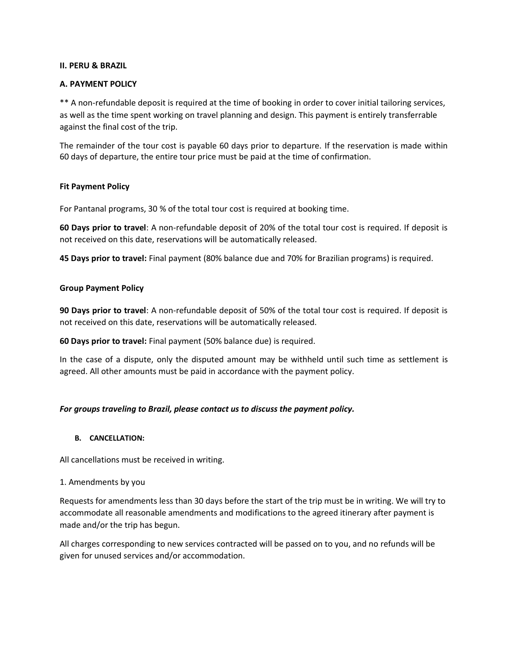#### **II. PERU & BRAZIL**

#### **A. PAYMENT POLICY**

\*\* A non-refundable deposit is required at the time of booking in order to cover initial tailoring services, as well as the time spent working on travel planning and design. This payment is entirely transferrable against the final cost of the trip.

The remainder of the tour cost is payable 60 days prior to departure. If the reservation is made within 60 days of departure, the entire tour price must be paid at the time of confirmation.

#### **Fit Payment Policy**

For Pantanal programs, 30 % of the total tour cost is required at booking time.

**60 Days prior to travel**: A non-refundable deposit of 20% of the total tour cost is required. If deposit is not received on this date, reservations will be automatically released.

**45 Days prior to travel:** Final payment (80% balance due and 70% for Brazilian programs) is required.

#### **Group Payment Policy**

**90 Days prior to travel**: A non-refundable deposit of 50% of the total tour cost is required. If deposit is not received on this date, reservations will be automatically released.

**60 Days prior to travel:** Final payment (50% balance due) is required.

In the case of a dispute, only the disputed amount may be withheld until such time as settlement is agreed. All other amounts must be paid in accordance with the payment policy.

### *For groups traveling to Brazil, please contact us to discuss the payment policy.*

#### **B. CANCELLATION:**

All cancellations must be received in writing.

#### 1. Amendments by you

Requests for amendments less than 30 days before the start of the trip must be in writing. We will try to accommodate all reasonable amendments and modifications to the agreed itinerary after payment is made and/or the trip has begun.

All charges corresponding to new services contracted will be passed on to you, and no refunds will be given for unused services and/or accommodation.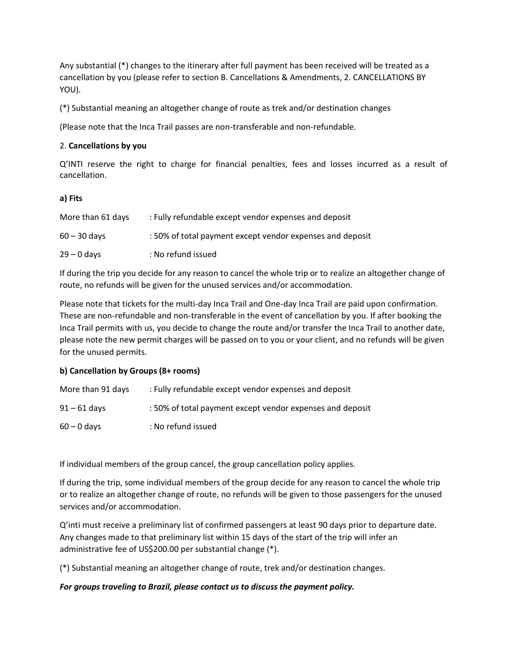Any substantial (\*) changes to the itinerary after full payment has been received will be treated as a cancellation by you (please refer to section B. Cancellations & Amendments, 2. CANCELLATIONS BY YOU).

(\*) Substantial meaning an altogether change of route as trek and/or destination changes

(Please note that the Inca Trail passes are non-transferable and non-refundable.

## 2. **Cancellations by you**

Q'INTI reserve the right to charge for financial penalties, fees and losses incurred as a result of cancellation.

## **a) Fits**

| More than 61 days | : Fully refundable except vendor expenses and deposit     |
|-------------------|-----------------------------------------------------------|
| $60 - 30$ davs    | : 50% of total payment except vendor expenses and deposit |
| $29 - 0$ days     | : No refund issued                                        |

If during the trip you decide for any reason to cancel the whole trip or to realize an altogether change of route, no refunds will be given for the unused services and/or accommodation.

Please note that tickets for the multi-day Inca Trail and One-day Inca Trail are paid upon confirmation. These are non-refundable and non-transferable in the event of cancellation by you. If after booking the Inca Trail permits with us, you decide to change the route and/or transfer the Inca Trail to another date, please note the new permit charges will be passed on to you or your client, and no refunds will be given for the unused permits.

### **b) Cancellation by Groups (8+ rooms)**

| More than 91 days | : Fully refundable except vendor expenses and deposit     |
|-------------------|-----------------------------------------------------------|
| $91 - 61$ days    | : 50% of total payment except vendor expenses and deposit |
| $60 - 0$ days     | : No refund issued                                        |

If individual members of the group cancel, the group cancellation policy applies.

If during the trip, some individual members of the group decide for any reason to cancel the whole trip or to realize an altogether change of route, no refunds will be given to those passengers for the unused services and/or accommodation.

Q'inti must receive a preliminary list of confirmed passengers at least 90 days prior to departure date. Any changes made to that preliminary list within 15 days of the start of the trip will infer an administrative fee of US\$200.00 per substantial change (\*).

(\*) Substantial meaning an altogether change of route, trek and/or destination changes.

# *For groups traveling to Brazil, please contact us to discuss the payment policy.*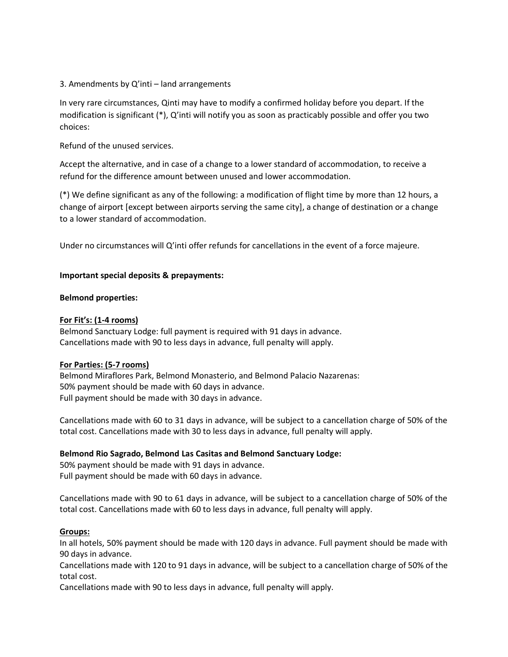### 3. Amendments by Q'inti – land arrangements

In very rare circumstances, Qinti may have to modify a confirmed holiday before you depart. If the modification is significant (\*), Q'inti will notify you as soon as practicably possible and offer you two choices:

Refund of the unused services.

Accept the alternative, and in case of a change to a lower standard of accommodation, to receive a refund for the difference amount between unused and lower accommodation.

(\*) We define significant as any of the following: a modification of flight time by more than 12 hours, a change of airport [except between airports serving the same city], a change of destination or a change to a lower standard of accommodation.

Under no circumstances will Q'inti offer refunds for cancellations in the event of a force majeure.

### **Important special deposits & prepayments:**

### **Belmond properties:**

## **For Fit's: (1-4 rooms)**

Belmond Sanctuary Lodge: full payment is required with 91 days in advance. Cancellations made with 90 to less days in advance, full penalty will apply.

### **For Parties: (5-7 rooms)**

Belmond Miraflores Park, Belmond Monasterio, and Belmond Palacio Nazarenas: 50% payment should be made with 60 days in advance. Full payment should be made with 30 days in advance.

Cancellations made with 60 to 31 days in advance, will be subject to a cancellation charge of 50% of the total cost. Cancellations made with 30 to less days in advance, full penalty will apply.

# **Belmond Rio Sagrado, Belmond Las Casitas and Belmond Sanctuary Lodge:**

50% payment should be made with 91 days in advance. Full payment should be made with 60 days in advance.

Cancellations made with 90 to 61 days in advance, will be subject to a cancellation charge of 50% of the total cost. Cancellations made with 60 to less days in advance, full penalty will apply.

### **Groups:**

In all hotels, 50% payment should be made with 120 days in advance. Full payment should be made with 90 days in advance.

Cancellations made with 120 to 91 days in advance, will be subject to a cancellation charge of 50% of the total cost.

Cancellations made with 90 to less days in advance, full penalty will apply.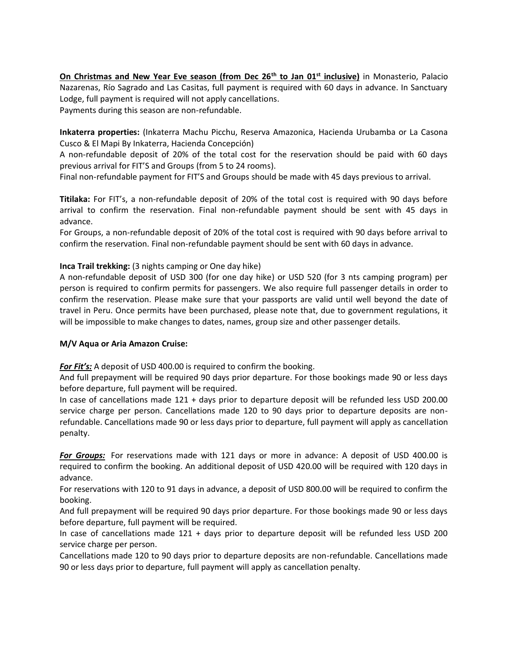**On Christmas and New Year Eve season (from Dec 26th to Jan 01st inclusive)** in Monasterio, Palacio Nazarenas, Río Sagrado and Las Casitas, full payment is required with 60 days in advance. In Sanctuary Lodge, full payment is required will not apply cancellations.

Payments during this season are non-refundable.

**Inkaterra properties:** (Inkaterra Machu Picchu, Reserva Amazonica, Hacienda Urubamba or La Casona Cusco & El Mapi By Inkaterra, Hacienda Concepción)

A non-refundable deposit of 20% of the total cost for the reservation should be paid with 60 days previous arrival for FIT'S and Groups (from 5 to 24 rooms).

Final non-refundable payment for FIT'S and Groups should be made with 45 days previous to arrival.

**Titilaka:** For FIT's, a non-refundable deposit of 20% of the total cost is required with 90 days before arrival to confirm the reservation. Final non-refundable payment should be sent with 45 days in advance.

For Groups, a non-refundable deposit of 20% of the total cost is required with 90 days before arrival to confirm the reservation. Final non-refundable payment should be sent with 60 days in advance.

# **Inca Trail trekking:** (3 nights camping or One day hike)

A non-refundable deposit of USD 300 (for one day hike) or USD 520 (for 3 nts camping program) per person is required to confirm permits for passengers. We also require full passenger details in order to confirm the reservation. Please make sure that your passports are valid until well beyond the date of travel in Peru. Once permits have been purchased, please note that, due to government regulations, it will be impossible to make changes to dates, names, group size and other passenger details.

### **M/V Aqua or Aria Amazon Cruise:**

*For Fit's:* A deposit of USD 400.00 is required to confirm the booking.

And full prepayment will be required 90 days prior departure. For those bookings made 90 or less days before departure, full payment will be required.

In case of cancellations made 121 + days prior to departure deposit will be refunded less USD 200.00 service charge per person. Cancellations made 120 to 90 days prior to departure deposits are nonrefundable. Cancellations made 90 or less days prior to departure, full payment will apply as cancellation penalty.

*For Groups:* For reservations made with 121 days or more in advance: A deposit of USD 400.00 is required to confirm the booking. An additional deposit of USD 420.00 will be required with 120 days in advance.

For reservations with 120 to 91 days in advance, a deposit of USD 800.00 will be required to confirm the booking.

And full prepayment will be required 90 days prior departure. For those bookings made 90 or less days before departure, full payment will be required.

In case of cancellations made 121 + days prior to departure deposit will be refunded less USD 200 service charge per person.

Cancellations made 120 to 90 days prior to departure deposits are non-refundable. Cancellations made 90 or less days prior to departure, full payment will apply as cancellation penalty.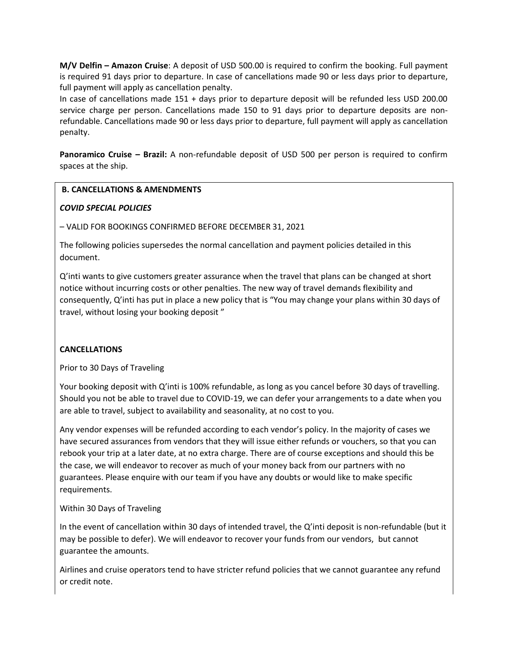**M/V Delfin – Amazon Cruise**: A deposit of USD 500.00 is required to confirm the booking. Full payment is required 91 days prior to departure. In case of cancellations made 90 or less days prior to departure, full payment will apply as cancellation penalty.

In case of cancellations made 151 + days prior to departure deposit will be refunded less USD 200.00 service charge per person. Cancellations made 150 to 91 days prior to departure deposits are nonrefundable. Cancellations made 90 or less days prior to departure, full payment will apply as cancellation penalty.

**Panoramico Cruise – Brazil:** A non-refundable deposit of USD 500 per person is required to confirm spaces at the ship.

## **B. CANCELLATIONS & AMENDMENTS**

## *COVID SPECIAL POLICIES*

– VALID FOR BOOKINGS CONFIRMED BEFORE DECEMBER 31, 2021

The following policies supersedes the normal cancellation and payment policies detailed in this document.

Q'inti wants to give customers greater assurance when the travel that plans can be changed at short notice without incurring costs or other penalties. The new way of travel demands flexibility and consequently, Q'inti has put in place a new policy that is "You may change your plans within 30 days of travel, without losing your booking deposit "

# **CANCELLATIONS**

Prior to 30 Days of Traveling

Your booking deposit with Q'inti is 100% refundable, as long as you cancel before 30 days of travelling. Should you not be able to travel due to COVID-19, we can defer your arrangements to a date when you are able to travel, subject to availability and seasonality, at no cost to you.

Any vendor expenses will be refunded according to each vendor's policy. In the majority of cases we have secured assurances from vendors that they will issue either refunds or vouchers, so that you can rebook your trip at a later date, at no extra charge. There are of course exceptions and should this be the case, we will endeavor to recover as much of your money back from our partners with no guarantees. Please enquire with our team if you have any doubts or would like to make specific requirements.

### Within 30 Days of Traveling

In the event of cancellation within 30 days of intended travel, the Q'inti deposit is non-refundable (but it may be possible to defer). We will endeavor to recover your funds from our vendors, but cannot guarantee the amounts.

Airlines and cruise operators tend to have stricter refund policies that we cannot guarantee any refund or credit note.